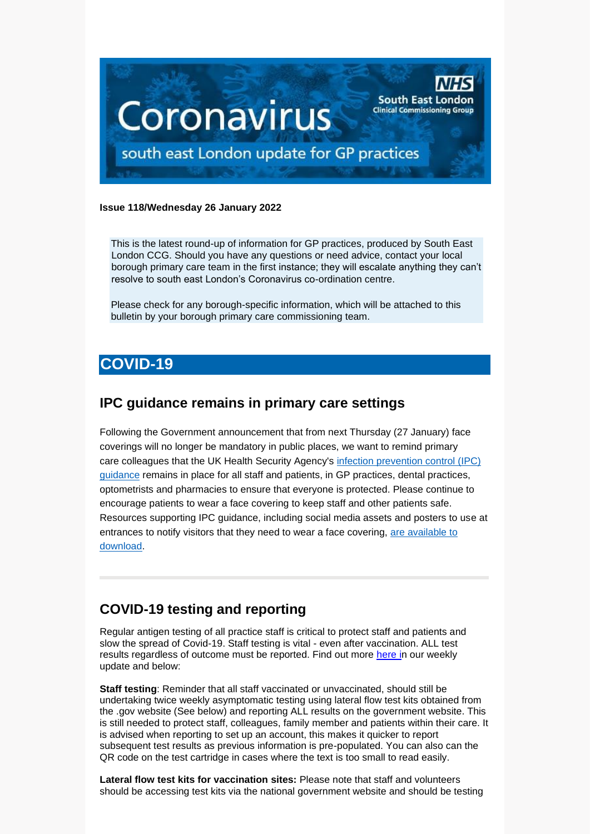

#### **Issue 118/Wednesday 26 January 2022**

This is the latest round-up of information for GP practices, produced by South East London CCG. Should you have any questions or need advice, contact your local borough primary care team in the first instance; they will escalate anything they can't resolve to south east London's Coronavirus co-ordination centre.

Please check for any borough-specific information, which will be attached to this bulletin by your borough primary care commissioning team.

## **COVID-19**

### **IPC guidance remains in primary care settings**

Following the Government announcement that from next Thursday (27 January) face coverings will no longer be mandatory in public places, we want to remind primary care colleagues that the UK Health Security Agency's [infection prevention control \(IPC\)](https://generalpracticebulletin.cmail20.com/t/d-l-akyitiy-jumyuutz-j/)  [guidance](https://generalpracticebulletin.cmail20.com/t/d-l-akyitiy-jumyuutz-j/) remains in place for all staff and patients, in GP practices, dental practices, optometrists and pharmacies to ensure that everyone is protected. Please continue to encourage patients to wear a face covering to keep staff and other patients safe. Resources supporting IPC guidance, including social media assets and posters to use at entrances to notify visitors that they need to wear a face covering, [are available to](https://generalpracticebulletin.cmail20.com/t/d-l-akyitiy-jumyuutz-t/)  [download.](https://generalpracticebulletin.cmail20.com/t/d-l-akyitiy-jumyuutz-t/)

## **COVID-19 testing and reporting**

Regular antigen testing of all practice staff is critical to protect staff and patients and slow the spread of Covid-19. Staff testing is vital - even after vaccination. ALL test results regardless of outcome must be reported. Find out more [here](https://selondonccg.nhs.uk/wp-content/uploads/2022/01/Key-messages-for-GP-Bulletin-21-January-2022.pdf) in our weekly update and below:

**Staff testing**: Reminder that all staff vaccinated or unvaccinated, should still be undertaking twice weekly asymptomatic testing using lateral flow test kits obtained from the .gov website (See below) and reporting ALL results on the government website. This is still needed to protect staff, colleagues, family member and patients within their care. It is advised when reporting to set up an account, this makes it quicker to report subsequent test results as previous information is pre-populated. You can also can the QR code on the test cartridge in cases where the text is too small to read easily.

**Lateral flow test kits for vaccination sites:** Please note that staff and volunteers should be accessing test kits via the national government website and should be testing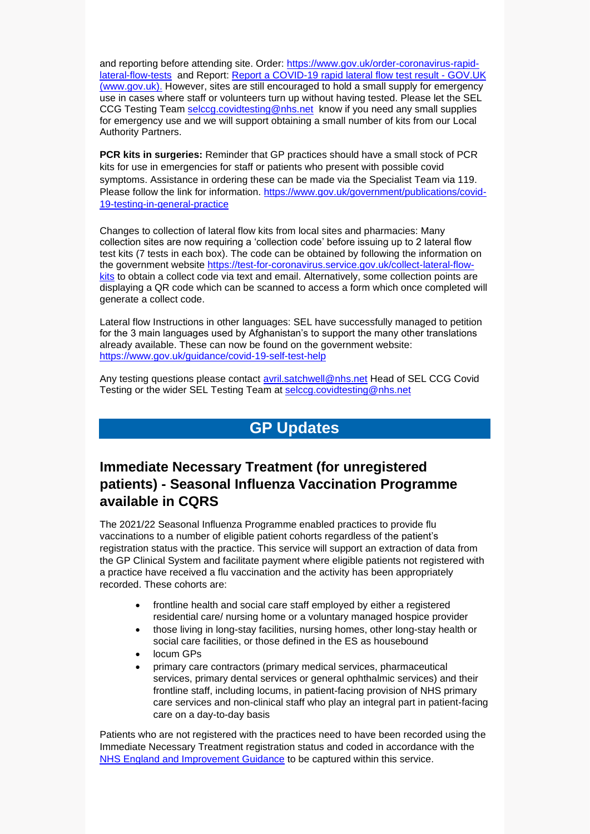and reporting before attending site. Order: [https://www.gov.uk/order-coronavirus-rapid](https://www.gov.uk/order-coronavirus-rapid-lateral-flow-tests)[lateral-flow-tests](https://www.gov.uk/order-coronavirus-rapid-lateral-flow-tests) and Report: [Report a COVID-19 rapid lateral flow test result -](https://www.gov.uk/report-covid19-result) GOV.UK [\(www.gov.uk\).](https://www.gov.uk/report-covid19-result) However, sites are still encouraged to hold a small supply for emergency use in cases where staff or volunteers turn up without having tested. Please let the SEL CCG Testing Team [selccg.covidtesting@nhs.net](mailto:selccg.covidtesting@nhs.net) know if you need any small supplies for emergency use and we will support obtaining a small number of kits from our Local Authority Partners.

**PCR kits in surgeries:** Reminder that GP practices should have a small stock of PCR kits for use in emergencies for staff or patients who present with possible covid symptoms. Assistance in ordering these can be made via the Specialist Team via 119. Please follow the link for information. [https://www.gov.uk/government/publications/covid-](https://www.gov.uk/government/publications/covid-19-testing-in-general-practice)[19-testing-in-general-practice](https://www.gov.uk/government/publications/covid-19-testing-in-general-practice)

Changes to collection of lateral flow kits from local sites and pharmacies: Many collection sites are now requiring a 'collection code' before issuing up to 2 lateral flow test kits (7 tests in each box). The code can be obtained by following the information on the government website [https://test-for-coronavirus.service.gov.uk/collect-lateral-flow](https://test-for-coronavirus.service.gov.uk/collect-lateral-flow-kits)[kits](https://test-for-coronavirus.service.gov.uk/collect-lateral-flow-kits) to obtain a collect code via text and email. Alternatively, some collection points are displaying a QR code which can be scanned to access a form which once completed will generate a collect code.

Lateral flow Instructions in other languages: SEL have successfully managed to petition for the 3 main languages used by Afghanistan's to support the many other translations already available. These can now be found on the government website: <https://www.gov.uk/guidance/covid-19-self-test-help>

Any testing questions please contact **avril.satchwell@nhs.net Head of SEL CCG Covid** Testing or the wider SEL Testing Team at [selccg.covidtesting@nhs.net](mailto:selccg.covidtesting@nhs.net)

## **GP Updates**

## **Immediate Necessary Treatment (for unregistered patients) - Seasonal Influenza Vaccination Programme available in CQRS**

The 2021/22 Seasonal Influenza Programme enabled practices to provide flu vaccinations to a number of eligible patient cohorts regardless of the patient's registration status with the practice. This service will support an extraction of data from the GP Clinical System and facilitate payment where eligible patients not registered with a practice have received a flu vaccination and the activity has been appropriately recorded. These cohorts are:

- frontline health and social care staff employed by either a registered residential care/ nursing home or a voluntary managed hospice provider
- those living in long-stay facilities, nursing homes, other long-stay health or social care facilities, or those defined in the ES as housebound
- locum GPs
- primary care contractors (primary medical services, pharmaceutical services, primary dental services or general ophthalmic services) and their frontline staff, including locums, in patient-facing provision of NHS primary care services and non-clinical staff who play an integral part in patient-facing care on a day-to-day basis

Patients who are not registered with the practices need to have been recorded using the Immediate Necessary Treatment registration status and coded in accordance with the [NHS England and Improvement Guidance](https://future.nhs.uk/P_C_N/view?objectId=29652880) to be captured within this service.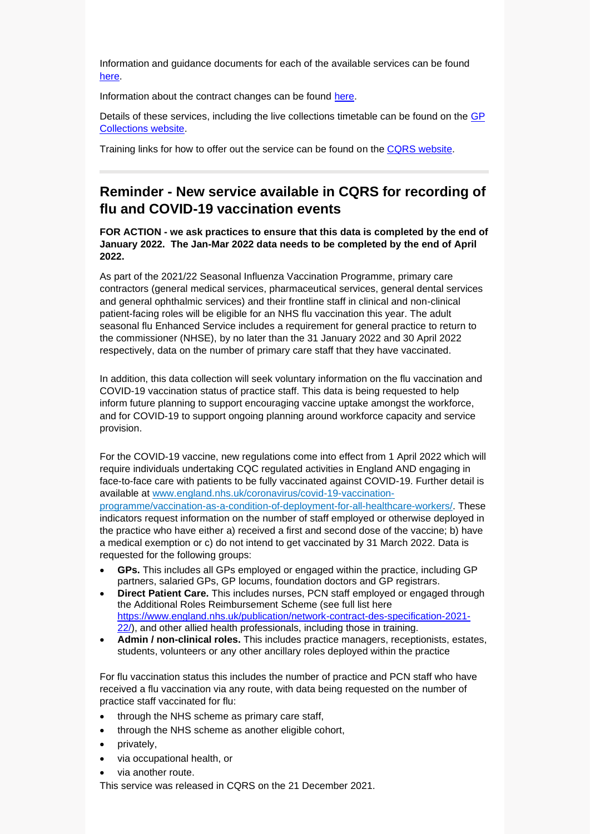Information and guidance documents for each of the available services can be found [here.](https://welcome.cqrs.nhs.uk/serviceinfo.html)

Information about the contract changes can be found [here.](https://www.england.nhs.uk/gp/gpfv/investment/gp-contract/)

Details of these services, including the live collections timetable can be found on the [GP](https://digital.nhs.uk/GP-collections)  [Collections website.](https://digital.nhs.uk/GP-collections)

Training links for how to offer out the service can be found on the [CQRS website.](https://academy.midlandsandlancashirecsu.nhs.uk/cqrs-national-training/training-materials/)

## **Reminder - New service available in CQRS for recording of flu and COVID-19 vaccination events**

**FOR ACTION - we ask practices to ensure that this data is completed by the end of January 2022. The Jan-Mar 2022 data needs to be completed by the end of April 2022.** 

As part of the 2021/22 Seasonal Influenza Vaccination Programme, primary care contractors (general medical services, pharmaceutical services, general dental services and general ophthalmic services) and their frontline staff in clinical and non-clinical patient-facing roles will be eligible for an NHS flu vaccination this year. The adult seasonal flu Enhanced Service includes a requirement for general practice to return to the commissioner (NHSE), by no later than the 31 January 2022 and 30 April 2022 respectively, data on the number of primary care staff that they have vaccinated.

In addition, this data collection will seek voluntary information on the flu vaccination and COVID-19 vaccination status of practice staff. This data is being requested to help inform future planning to support encouraging vaccine uptake amongst the workforce, and for COVID-19 to support ongoing planning around workforce capacity and service provision.

For the COVID-19 vaccine, new regulations come into effect from 1 April 2022 which will require individuals undertaking CQC regulated activities in England AND engaging in face-to-face care with patients to be fully vaccinated against COVID-19. Further detail is available at [www.england.nhs.uk/coronavirus/covid-19-vaccination](https://www.england.nhs.uk/coronavirus/covid-19-vaccination-programme/vaccination-as-a-condition-of-deployment-for-all-healthcare-workers/)[programme/vaccination-as-a-condition-of-deployment-for-all-healthcare-workers/.](https://www.england.nhs.uk/coronavirus/covid-19-vaccination-programme/vaccination-as-a-condition-of-deployment-for-all-healthcare-workers/) These indicators request information on the number of staff employed or otherwise deployed in the practice who have either a) received a first and second dose of the vaccine; b) have a medical exemption or c) do not intend to get vaccinated by 31 March 2022. Data is requested for the following groups:

- **GPs.** This includes all GPs employed or engaged within the practice, including GP partners, salaried GPs, GP locums, foundation doctors and GP registrars.
- **Direct Patient Care.** This includes nurses, PCN staff employed or engaged through the Additional Roles Reimbursement Scheme (see full list here [https://www.england.nhs.uk/publication/network-contract-des-specification-2021-](https://www.england.nhs.uk/publication/network-contract-des-specification-2021-22/) [22/\)](https://www.england.nhs.uk/publication/network-contract-des-specification-2021-22/), and other allied health professionals, including those in training.
- **Admin / non-clinical roles.** This includes practice managers, receptionists, estates, students, volunteers or any other ancillary roles deployed within the practice

For flu vaccination status this includes the number of practice and PCN staff who have received a flu vaccination via any route, with data being requested on the number of practice staff vaccinated for flu:

- through the NHS scheme as primary care staff,
- through the NHS scheme as another eligible cohort,
- privately,
- via occupational health, or
- via another route.

This service was released in CQRS on the 21 December 2021.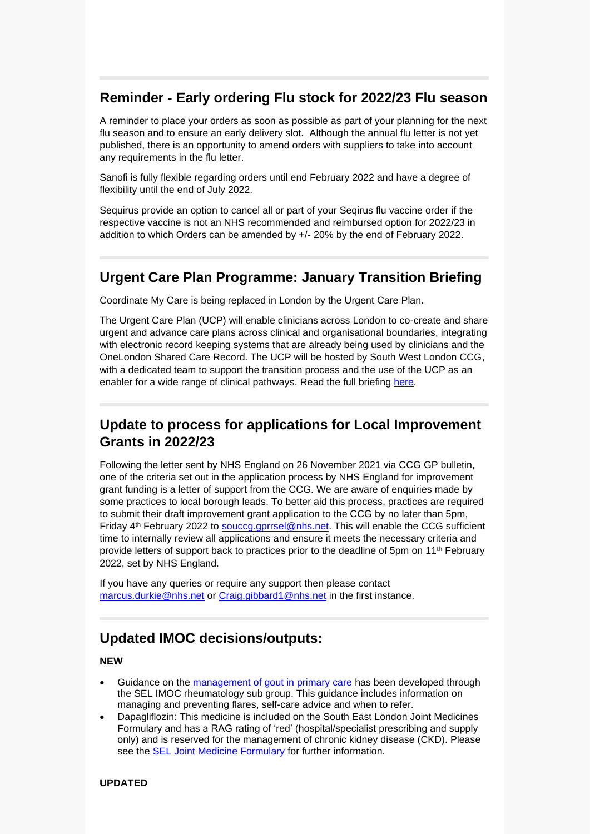## **Reminder - Early ordering Flu stock for 2022/23 Flu season**

A reminder to place your orders as soon as possible as part of your planning for the next flu season and to ensure an early delivery slot. Although the annual flu letter is not yet published, there is an opportunity to amend orders with suppliers to take into account any requirements in the flu letter.

Sanofi is fully flexible regarding orders until end February 2022 and have a degree of flexibility until the end of July 2022.

Sequirus provide an option to cancel all or part of your Seqirus flu vaccine order if the respective vaccine is not an NHS recommended and reimbursed option for 2022/23 in addition to which Orders can be amended by +/- 20% by the end of February 2022.

## **Urgent Care Plan Programme: January Transition Briefing**

Coordinate My Care is being replaced in London by the Urgent Care Plan.

The Urgent Care Plan (UCP) will enable clinicians across London to co-create and share urgent and advance care plans across clinical and organisational boundaries, integrating with electronic record keeping systems that are already being used by clinicians and the OneLondon Shared Care Record. The UCP will be hosted by South West London CCG, with a dedicated team to support the transition process and the use of the UCP as an enabler for a wide range of clinical pathways. Read the full briefing [here.](https://selondonccg.nhs.uk/wp-content/uploads/2022/01/Urgent-care-plan-programme.pdf)

## **Update to process for applications for Local Improvement Grants in 2022/23**

Following the letter sent by NHS England on 26 November 2021 via CCG GP bulletin, one of the criteria set out in the application process by NHS England for improvement grant funding is a letter of support from the CCG. We are aware of enquiries made by some practices to local borough leads. To better aid this process, practices are required to submit their draft improvement grant application to the CCG by no later than 5pm, Friday 4<sup>th</sup> February 2022 to [souccg.gprrsel@nhs.net.](mailto:souccg.gprrsel@nhs.net) This will enable the CCG sufficient time to internally review all applications and ensure it meets the necessary criteria and provide letters of support back to practices prior to the deadline of 5pm on 11th February 2022, set by NHS England.

If you have any queries or require any support then please contact [marcus.durkie@nhs.net](mailto:marcus.durkie@nhs.net) or [Craig.gibbard1@nhs.net](mailto:Craig.gibbard1@nhs.net) in the first instance.

## **Updated IMOC decisions/outputs:**

### **NEW**

- Guidance on the [management of gout in primary care](https://selondonccg.nhs.uk/download/17631/) has been developed through the SEL IMOC rheumatology sub group. This guidance includes information on managing and preventing flares, self-care advice and when to refer.
- Dapagliflozin: This medicine is included on the South East London Joint Medicines Formulary and has a RAG rating of 'red' (hospital/specialist prescribing and supply only) and is reserved for the management of chronic kidney disease (CKD). Please see the [SEL Joint Medicine Formulary](https://www.selondonjointmedicinesformulary.nhs.uk/chaptersSubDetails.asp?FormularySectionID=6&SubSectionRef=06.01.02.03&SubSectionID=D100&drugmatch=6401#6401) for further information.

#### **UPDATED**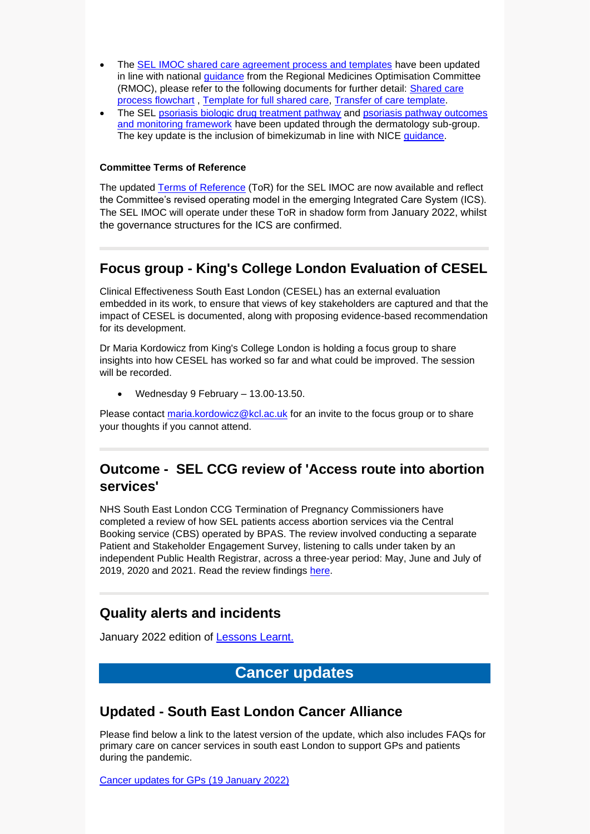- The [SEL IMOC shared care agreement process and templates](https://selondonccg.nhs.uk/what-we-do/medicines-optimisation/south-east-london-integrated-medicines-optimisation-committee-sel-imoc/shared-care-agreements-and-templates/) have been updated in line with national [guidance](https://www.sps.nhs.uk/wp-content/uploads/2020/01/RMOC-Shared-Care-for-Medicines-Guidance-A-Standard-Approach-Live-1.0.pdf) from the Regional Medicines Optimisation Committee (RMOC), please refer to the following documents for further detail: [Shared care](https://selondonccg.nhs.uk/download/12371/)  [process flowchart](https://selondonccg.nhs.uk/download/12371/) , [Template for full shared care,](https://selondonccg.nhs.uk/download/12374/) [Transfer of care template.](https://selondonccg.nhs.uk/download/12380/)
- The SEL [psoriasis biologic drug treatment pathway](https://selondonccg.nhs.uk/download/12188/) and psoriasis pathway outcomes [and monitoring framework](https://selondonccg.nhs.uk/download/12191/) have been updated through the dermatology sub-group. The key update is the inclusion of bimekizumab in line with NICE [guidance.](https://www.nice.org.uk/guidance/ta723)

#### **Committee Terms of Reference**

The updated [Terms of Reference](https://selondonccg.nhs.uk/download/11583/) (ToR) for the SEL IMOC are now available and reflect the Committee's revised operating model in the emerging Integrated Care System (ICS). The SEL IMOC will operate under these ToR in shadow form from January 2022, whilst the governance structures for the ICS are confirmed.

## **Focus group - King's College London Evaluation of CESEL**

Clinical Effectiveness South East London (CESEL) has an external evaluation embedded in its work, to ensure that views of key stakeholders are captured and that the impact of CESEL is documented, along with proposing evidence-based recommendation for its development.

Dr Maria Kordowicz from King's College London is holding a focus group to share insights into how CESEL has worked so far and what could be improved. The session will be recorded.

• Wednesday 9 February – 13.00-13.50.

Please contact [maria.kordowicz@kcl.ac.uk](mailto:maria.kordowicz@kcl.ac.uk) for an invite to the focus group or to share your thoughts if you cannot attend.

## **Outcome - SEL CCG review of 'Access route into abortion services'**

NHS South East London CCG Termination of Pregnancy Commissioners have completed a review of how SEL patients access abortion services via the Central Booking service (CBS) operated by BPAS. The review involved conducting a separate Patient and Stakeholder Engagement Survey, listening to calls under taken by an independent Public Health Registrar, across a three-year period: May, June and July of 2019, 2020 and 2021. Read the review findings [here.](https://selondonccg.nhs.uk/wp-content/uploads/2022/01/Outcome-SEL-CCG-review-of-Access-route-into-abortion-services.pdf)

## **Quality alerts and incidents**

January 2022 edition of [Lessons Learnt.](https://selondonccg.nhs.uk/wp-content/uploads/2022/01/Lessons-Learnt-Quality-You-said-we-did-January-22-Edition.pdf)

# **Cancer updates**

## **Updated - South East London Cancer Alliance**

Please find below a link to the latest version of the update, which also includes FAQs for primary care on cancer services in south east London to support GPs and patients during the pandemic.

[Cancer updates for GPs \(19 January 2022\)](https://selondonccg.nhs.uk/wp-content/uploads/2022/01/SEL-Cancer-Updates-FAQs-for-Primary-Care-19-Jan-2022.pdf)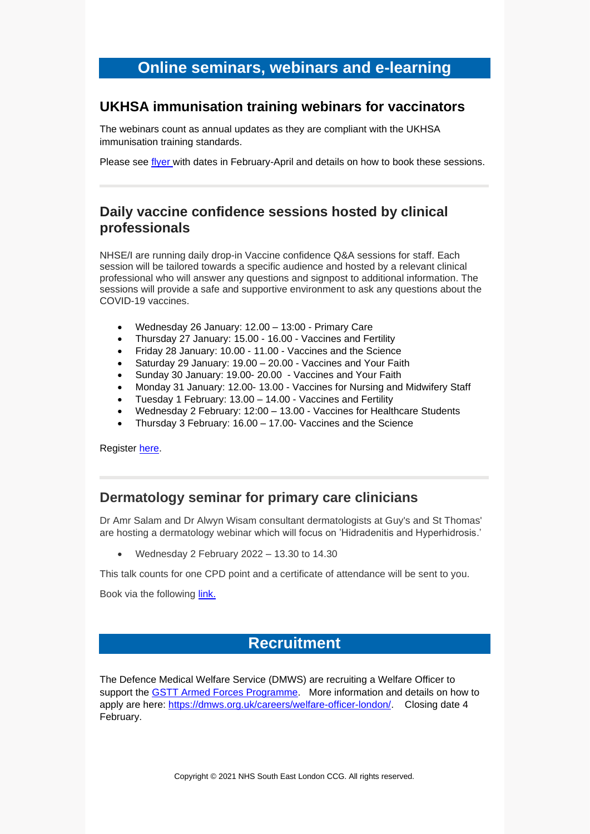## **Online seminars, webinars and e-learning**

### **UKHSA immunisation training webinars for vaccinators**

The webinars count as annual updates as they are compliant with the UKHSA immunisation training standards.

Please see [flyer](https://selondonccg.nhs.uk/wp-content/uploads/2022/01/Feb-Apr-Webinar-Flyer-2022.docx) with dates in February-April and details on how to book these sessions.

## **Daily vaccine confidence sessions hosted by clinical professionals**

NHSE/I are running daily drop-in Vaccine confidence Q&A sessions for staff. Each session will be tailored towards a specific audience and hosted by a relevant clinical professional who will answer any questions and signpost to additional information. The sessions will provide a safe and supportive environment to ask any questions about the COVID-19 vaccines.

- Wednesday 26 January: 12.00 13:00 Primary Care
- Thursday 27 January: 15.00 16.00 Vaccines and Fertility
- Friday 28 January: 10.00 11.00 Vaccines and the Science
- Saturday 29 January: 19.00 20.00 Vaccines and Your Faith
- Sunday 30 January: 19.00- 20.00 Vaccines and Your Faith
- Monday 31 January: 12.00- 13.00 Vaccines for Nursing and Midwifery Staff
- Tuesday 1 February: 13.00 14.00 Vaccines and Fertility
- Wednesday 2 February: 12:00 13.00 Vaccines for Healthcare Students
- Thursday 3 February: 16.00 17.00- Vaccines and the Science

Register [here.](https://www.events.england.nhs.uk/events/staff-vaccination-daily-q-and-a)

## **Dermatology seminar for primary care clinicians**

Dr Amr Salam and Dr Alwyn Wisam consultant dermatologists at Guy's and St Thomas' are hosting a dermatology webinar which will focus on 'Hidradenitis and Hyperhidrosis.'

• Wednesday 2 February 2022 – 13.30 to 14.30

This talk counts for one CPD point and a certificate of attendance will be sent to you.

Book via the following [link.](https://www.eventbrite.co.uk/e/free-dermatology-seminar-for-primary-care-clinicians-tickets-225768378297)

## **Recruitment**

The Defence Medical Welfare Service (DMWS) are recruiting a Welfare Officer to support the [GSTT Armed Forces Programme.](https://www.guysandstthomas.nhs.uk/about-us/armed-forces-covenant.aspx) More information and details on how to apply are here: [https://dmws.org.uk/careers/welfare-officer-london/.](https://dmws.org.uk/careers/welfare-officer-london/) Closing date 4 February.